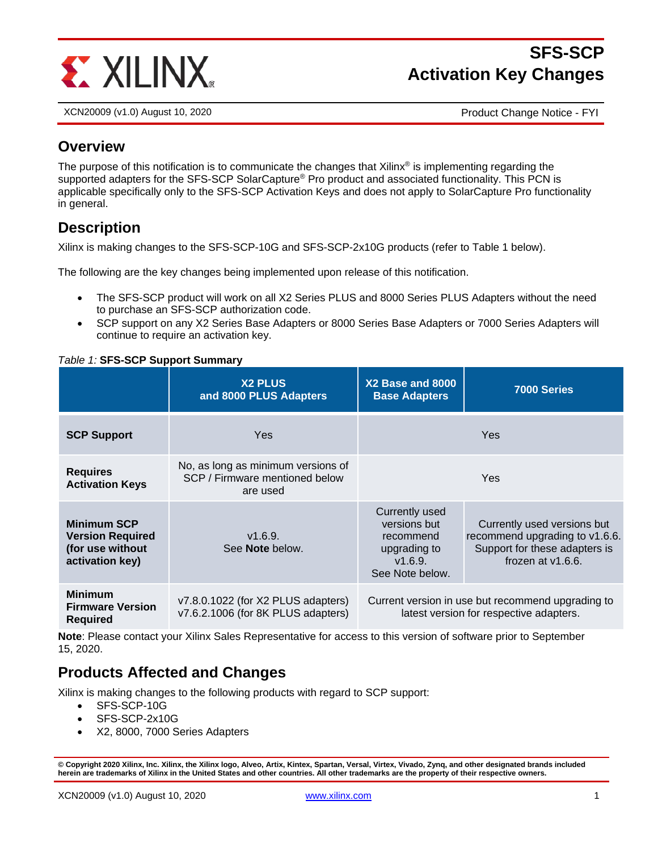

# **SFS-SCP Activation Key Changes**

XCN20009 (v1.0) August 10, 2020 Product Change Notice - FYI

### **Overview**

The purpose of this notification is to communicate the changes that Xilinx<sup>®</sup> is implementing regarding the supported adapters for the SFS-SCP SolarCapture<sup>®</sup> Pro product and associated functionality. This PCN is applicable specifically only to the SFS-SCP Activation Keys and does not apply to SolarCapture Pro functionality in general.

### **Description**

Xilinx is making changes to the SFS-SCP-10G and SFS-SCP-2x10G products (refer to Table 1 below).

The following are the key changes being implemented upon release of this notification.

- The SFS-SCP product will work on all X2 Series PLUS and 8000 Series PLUS Adapters without the need to purchase an SFS-SCP authorization code.
- SCP support on any X2 Series Base Adapters or 8000 Series Base Adapters or 7000 Series Adapters will continue to require an activation key.

#### *Table 1:* **SFS-SCP Support Summary**

|                                                                                      | <b>X2 PLUS</b><br>and 8000 PLUS Adapters                                         | X2 Base and 8000<br><b>Base Adapters</b>                                                  | 7000 Series                                                                                                            |
|--------------------------------------------------------------------------------------|----------------------------------------------------------------------------------|-------------------------------------------------------------------------------------------|------------------------------------------------------------------------------------------------------------------------|
| <b>SCP Support</b>                                                                   | Yes                                                                              |                                                                                           | <b>Yes</b>                                                                                                             |
| <b>Requires</b><br><b>Activation Keys</b>                                            | No, as long as minimum versions of<br>SCP / Firmware mentioned below<br>are used |                                                                                           | <b>Yes</b>                                                                                                             |
| <b>Minimum SCP</b><br><b>Version Required</b><br>(for use without<br>activation key) | V1.6.9.<br>See <b>Note</b> below.                                                | Currently used<br>versions but<br>recommend<br>upgrading to<br>V1.6.9.<br>See Note below. | Currently used versions but<br>recommend upgrading to v1.6.6.<br>Support for these adapters is<br>frozen at $v1.6.6$ . |
| <b>Minimum</b><br><b>Firmware Version</b><br><b>Required</b>                         | v7.8.0.1022 (for X2 PLUS adapters)<br>v7.6.2.1006 (for 8K PLUS adapters)         |                                                                                           | Current version in use but recommend upgrading to<br>latest version for respective adapters.                           |

**Note**: Please contact your Xilinx Sales Representative for access to this version of software prior to September 15, 2020.

#### **Products Affected and Changes**

Xilinx is making changes to the following products with regard to SCP support:

- SFS-SCP-10G
- SFS-SCP-2x10G
- X2, 8000, 7000 Series Adapters

**<sup>©</sup> Copyright 2020 Xilinx, Inc. Xilinx, the Xilinx logo, Alveo, Artix, Kintex, Spartan, Versal, Virtex, Vivado, Zynq, and other designated brands included herein are trademarks of Xilinx in the United States and other countries. All other trademarks are the property of their respective owners.**